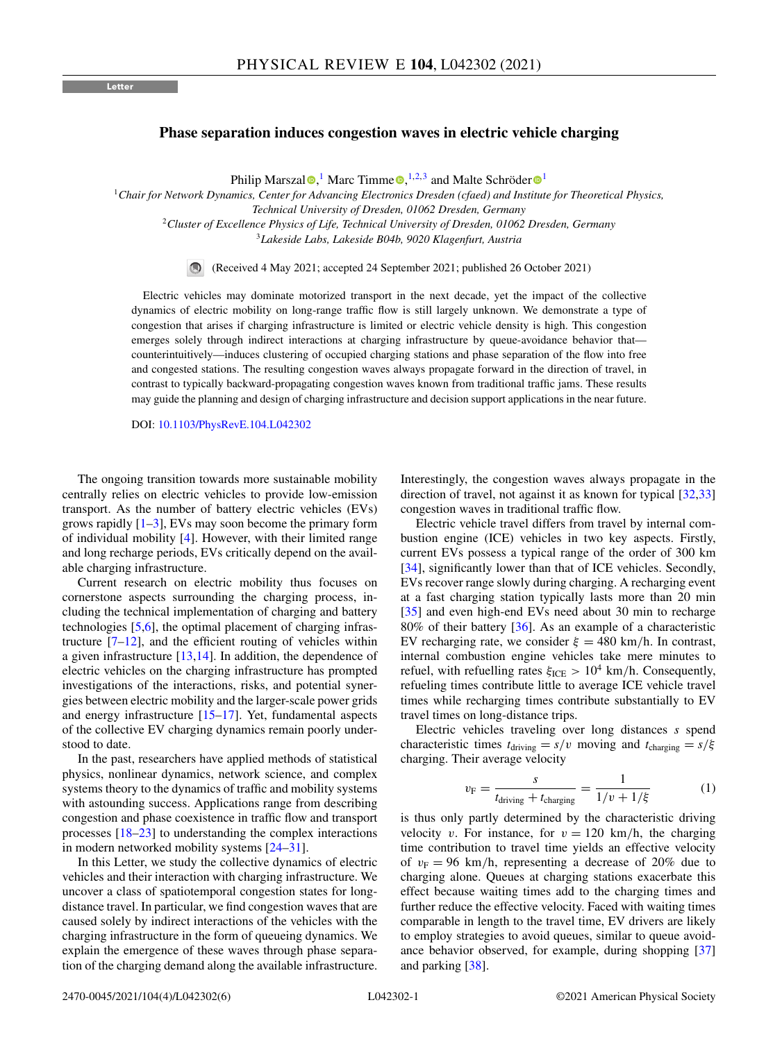## <span id="page-0-0"></span>**Phase separation induces congestion waves in electric vehicle charging**

Philip Marszal<sup>®</sup>[,](https://orcid.org/0000-0002-5956-3137)<sup>[1](https://orcid.org/0000-0001-8756-9918)</sup> Marc Timme<sup>®</sup>,<sup>1,2,3</sup> and Malte Schröder<sup>®1</sup>

<sup>1</sup>*Chair for Network Dynamics, Center for Advancing Electronics Dresden (cfaed) and Institute for Theoretical Physics, Technical University of Dresden, 01062 Dresden, Germany*

<sup>2</sup>*Cluster of Excellence Physics of Life, Technical University of Dresden, 01062 Dresden, Germany*

<sup>3</sup>*Lakeside Labs, Lakeside B04b, 9020 Klagenfurt, Austria*

(Received 4 May 2021; accepted 24 September 2021; published 26 October 2021)

Electric vehicles may dominate motorized transport in the next decade, yet the impact of the collective dynamics of electric mobility on long-range traffic flow is still largely unknown. We demonstrate a type of congestion that arises if charging infrastructure is limited or electric vehicle density is high. This congestion emerges solely through indirect interactions at charging infrastructure by queue-avoidance behavior that counterintuitively—induces clustering of occupied charging stations and phase separation of the flow into free and congested stations. The resulting congestion waves always propagate forward in the direction of travel, in contrast to typically backward-propagating congestion waves known from traditional traffic jams. These results may guide the planning and design of charging infrastructure and decision support applications in the near future.

DOI: [10.1103/PhysRevE.104.L042302](https://doi.org/10.1103/PhysRevE.104.L042302)

The ongoing transition towards more sustainable mobility centrally relies on electric vehicles to provide low-emission transport. As the number of battery electric vehicles (EVs) grows rapidly  $[1-3]$ , EVs may soon become the primary form of individual mobility [\[4\]](#page-4-0). However, with their limited range and long recharge periods, EVs critically depend on the available charging infrastructure.

Current research on electric mobility thus focuses on cornerstone aspects surrounding the charging process, including the technical implementation of charging and battery technologies [\[5,6\]](#page-4-0), the optimal placement of charging infrastructure  $[7-12]$ , and the efficient routing of vehicles within a given infrastructure  $[13,14]$ . In addition, the dependence of electric vehicles on the charging infrastructure has prompted investigations of the interactions, risks, and potential synergies between electric mobility and the larger-scale power grids and energy infrastructure  $[15-17]$ . Yet, fundamental aspects of the collective EV charging dynamics remain poorly understood to date.

In the past, researchers have applied methods of statistical physics, nonlinear dynamics, network science, and complex systems theory to the dynamics of traffic and mobility systems with astounding success. Applications range from describing congestion and phase coexistence in traffic flow and transport processes [\[18–23\]](#page-4-0) to understanding the complex interactions in modern networked mobility systems [\[24–31\]](#page-4-0).

In this Letter, we study the collective dynamics of electric vehicles and their interaction with charging infrastructure. We uncover a class of spatiotemporal congestion states for longdistance travel. In particular, we find congestion waves that are caused solely by indirect interactions of the vehicles with the charging infrastructure in the form of queueing dynamics. We explain the emergence of these waves through phase separation of the charging demand along the available infrastructure.

Interestingly, the congestion waves always propagate in the direction of travel, not against it as known for typical [\[32,33\]](#page-4-0) congestion waves in traditional traffic flow.

Electric vehicle travel differs from travel by internal combustion engine (ICE) vehicles in two key aspects. Firstly, current EVs possess a typical range of the order of 300 km [\[34\]](#page-4-0), significantly lower than that of ICE vehicles. Secondly, EVs recover range slowly during charging. A recharging event at a fast charging station typically lasts more than 20 min [\[35\]](#page-4-0) and even high-end EVs need about 30 min to recharge 80% of their battery [\[36\]](#page-4-0). As an example of a characteristic EV recharging rate, we consider  $\xi = 480$  km/h. In contrast, internal combustion engine vehicles take mere minutes to refuel, with refuelling rates  $\xi_{\text{ICE}} > 10^4 \text{ km/h}$ . Consequently, refueling times contribute little to average ICE vehicle travel times while recharging times contribute substantially to EV travel times on long-distance trips.

Electric vehicles traveling over long distances *s* spend characteristic times  $t_{\text{driving}} = s/v$  moving and  $t_{\text{charging}} = s/\xi$ charging. Their average velocity

$$
v_{\rm F} = \frac{s}{t_{\rm driving} + t_{\rm charging}} = \frac{1}{1/v + 1/\xi} \tag{1}
$$

is thus only partly determined by the characteristic driving velocity *v*. For instance, for  $v = 120$  km/h, the charging time contribution to travel time yields an effective velocity of  $v_F = 96$  km/h, representing a decrease of 20% due to charging alone. Queues at charging stations exacerbate this effect because waiting times add to the charging times and further reduce the effective velocity. Faced with waiting times comparable in length to the travel time, EV drivers are likely to employ strategies to avoid queues, similar to queue avoidance behavior observed, for example, during shopping [\[37\]](#page-4-0) and parking [\[38\]](#page-4-0).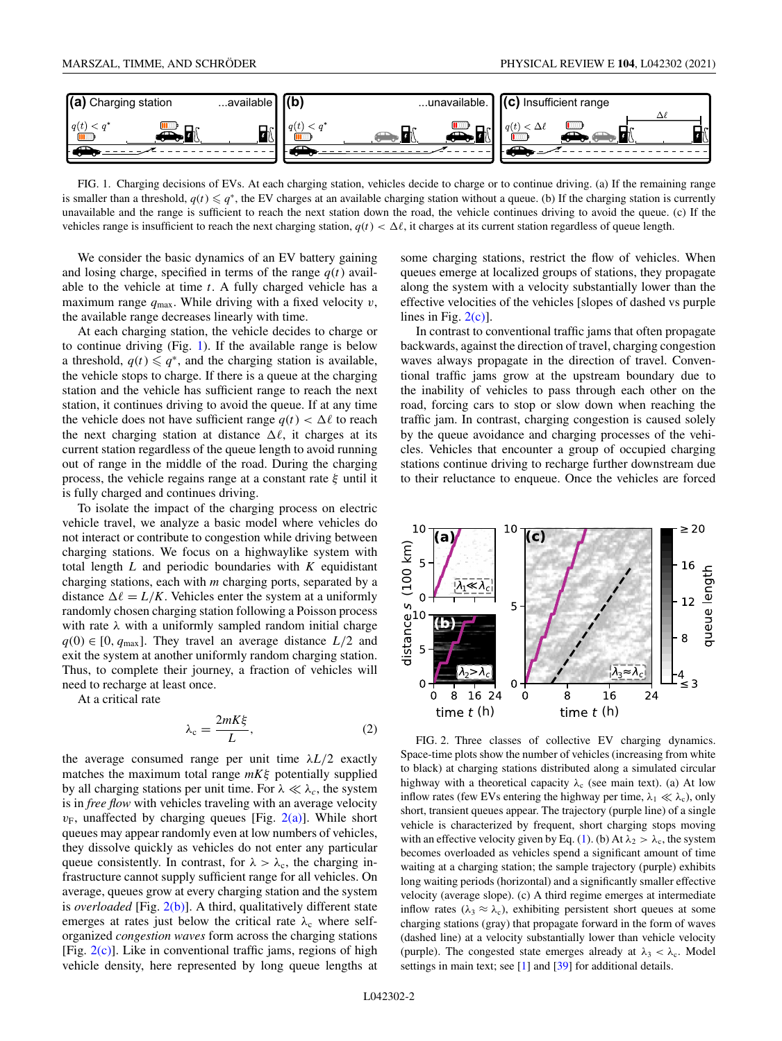<span id="page-1-0"></span>

FIG. 1. Charging decisions of EVs. At each charging station, vehicles decide to charge or to continue driving. (a) If the remaining range is smaller than a threshold,  $q(t) \leq q^*$ , the EV charges at an available charging station without a queue. (b) If the charging station is currently unavailable and the range is sufficient to reach the next station down the road, the vehicle continues driving to avoid the queue. (c) If the vehicles range is insufficient to reach the next charging station,  $q(t) < \Delta \ell$ , it charges at its current station regardless of queue length.

We consider the basic dynamics of an EV battery gaining and losing charge, specified in terms of the range  $q(t)$  available to the vehicle at time *t*. A fully charged vehicle has a maximum range *q*max. While driving with a fixed velocity *v*, the available range decreases linearly with time.

At each charging station, the vehicle decides to charge or to continue driving (Fig. 1). If the available range is below a threshold,  $q(t) \leq q^*$ , and the charging station is available, the vehicle stops to charge. If there is a queue at the charging station and the vehicle has sufficient range to reach the next station, it continues driving to avoid the queue. If at any time the vehicle does not have sufficient range  $q(t) < \Delta \ell$  to reach the next charging station at distance  $\Delta \ell$ , it charges at its current station regardless of the queue length to avoid running out of range in the middle of the road. During the charging process, the vehicle regains range at a constant rate  $\xi$  until it is fully charged and continues driving.

To isolate the impact of the charging process on electric vehicle travel, we analyze a basic model where vehicles do not interact or contribute to congestion while driving between charging stations. We focus on a highwaylike system with total length *L* and periodic boundaries with *K* equidistant charging stations, each with *m* charging ports, separated by a distance  $\Delta \ell = L/K$ . Vehicles enter the system at a uniformly randomly chosen charging station following a Poisson process with rate  $\lambda$  with a uniformly sampled random initial charge  $q(0) \in [0, q_{max}]$ . They travel an average distance  $L/2$  and exit the system at another uniformly random charging station. Thus, to complete their journey, a fraction of vehicles will need to recharge at least once.

At a critical rate

$$
\lambda_{\rm c} = \frac{2mK\xi}{L},\tag{2}
$$

the average consumed range per unit time  $\lambda L/2$  exactly matches the maximum total range *mK*ξ potentially supplied by all charging stations per unit time. For  $\lambda \ll \lambda_c$ , the system is in *free flow* with vehicles traveling with an average velocity  $v_F$ , unaffected by charging queues [Fig. 2(a)]. While short queues may appear randomly even at low numbers of vehicles, they dissolve quickly as vehicles do not enter any particular queue consistently. In contrast, for  $\lambda > \lambda_c$ , the charging infrastructure cannot supply sufficient range for all vehicles. On average, queues grow at every charging station and the system is *overloaded* [Fig. 2(b)]. A third, qualitatively different state emerges at rates just below the critical rate  $\lambda_c$  where selforganized *congestion waves* form across the charging stations [Fig.  $2(c)$ ]. Like in conventional traffic jams, regions of high vehicle density, here represented by long queue lengths at

some charging stations, restrict the flow of vehicles. When queues emerge at localized groups of stations, they propagate along the system with a velocity substantially lower than the effective velocities of the vehicles [slopes of dashed vs purple lines in Fig.  $2(c)$ ].

In contrast to conventional traffic jams that often propagate backwards, against the direction of travel, charging congestion waves always propagate in the direction of travel. Conventional traffic jams grow at the upstream boundary due to the inability of vehicles to pass through each other on the road, forcing cars to stop or slow down when reaching the traffic jam. In contrast, charging congestion is caused solely by the queue avoidance and charging processes of the vehicles. Vehicles that encounter a group of occupied charging stations continue driving to recharge further downstream due to their reluctance to enqueue. Once the vehicles are forced



FIG. 2. Three classes of collective EV charging dynamics. Space-time plots show the number of vehicles (increasing from white to black) at charging stations distributed along a simulated circular highway with a theoretical capacity  $\lambda_c$  (see main text). (a) At low inflow rates (few EVs entering the highway per time,  $\lambda_1 \ll \lambda_c$ ), only short, transient queues appear. The trajectory (purple line) of a single vehicle is characterized by frequent, short charging stops moving with an effective velocity given by Eq. [\(1\)](#page-0-0). (b) At  $\lambda_2 > \lambda_c$ , the system becomes overloaded as vehicles spend a significant amount of time waiting at a charging station; the sample trajectory (purple) exhibits long waiting periods (horizontal) and a significantly smaller effective velocity (average slope). (c) A third regime emerges at intermediate inflow rates ( $\lambda_3 \approx \lambda_c$ ), exhibiting persistent short queues at some charging stations (gray) that propagate forward in the form of waves (dashed line) at a velocity substantially lower than vehicle velocity (purple). The congested state emerges already at  $\lambda_3 < \lambda_c$ . Model settings in main text; see [\[1\]](#page-4-0) and [\[39\]](#page-4-0) for additional details.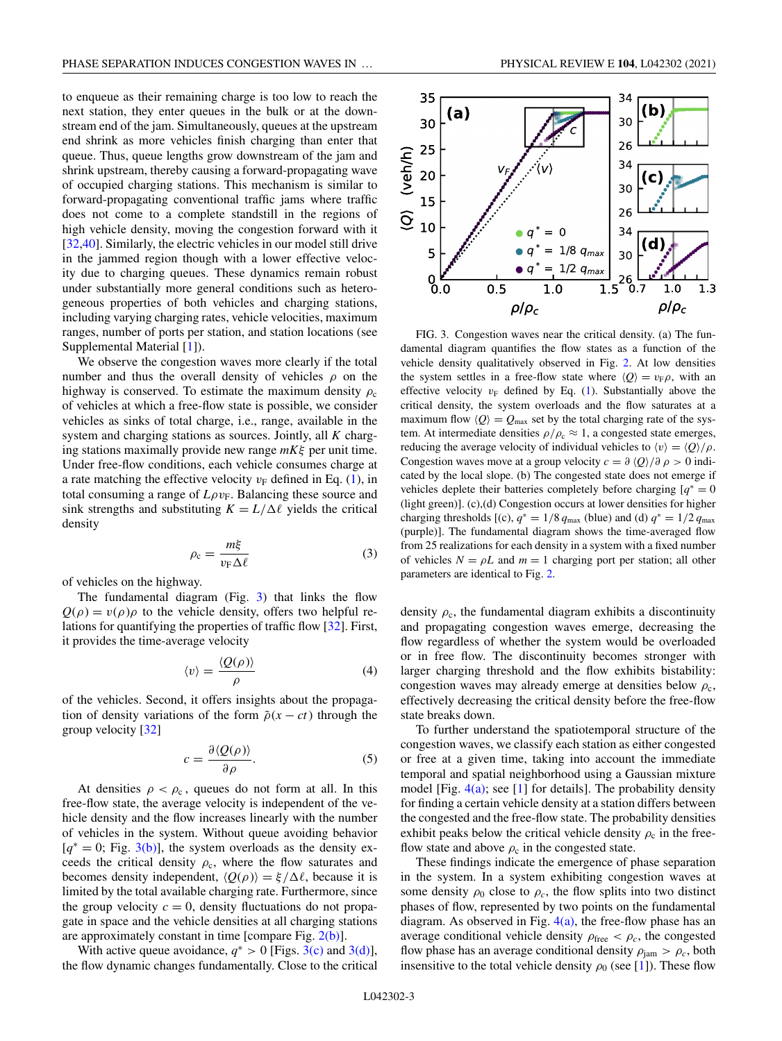<span id="page-2-0"></span>to enqueue as their remaining charge is too low to reach the next station, they enter queues in the bulk or at the downstream end of the jam. Simultaneously, queues at the upstream end shrink as more vehicles finish charging than enter that queue. Thus, queue lengths grow downstream of the jam and shrink upstream, thereby causing a forward-propagating wave of occupied charging stations. This mechanism is similar to forward-propagating conventional traffic jams where traffic does not come to a complete standstill in the regions of high vehicle density, moving the congestion forward with it [\[32,40\]](#page-4-0). Similarly, the electric vehicles in our model still drive in the jammed region though with a lower effective velocity due to charging queues. These dynamics remain robust under substantially more general conditions such as heterogeneous properties of both vehicles and charging stations, including varying charging rates, vehicle velocities, maximum ranges, number of ports per station, and station locations (see Supplemental Material [\[1\]](#page-4-0)).

We observe the congestion waves more clearly if the total number and thus the overall density of vehicles  $\rho$  on the highway is conserved. To estimate the maximum density  $\rho_c$ of vehicles at which a free-flow state is possible, we consider vehicles as sinks of total charge, i.e., range, available in the system and charging stations as sources. Jointly, all *K* charging stations maximally provide new range *mK*ξ per unit time. Under free-flow conditions, each vehicle consumes charge at a rate matching the effective velocity  $v_F$  defined in Eq. [\(1\)](#page-0-0), in total consuming a range of  $L\rho v_F$ . Balancing these source and sink strengths and substituting  $K = L/\Delta \ell$  yields the critical density

$$
\rho_{\rm c} = \frac{m\xi}{v_{\rm F}\Delta\ell} \tag{3}
$$

of vehicles on the highway.

The fundamental diagram (Fig. 3) that links the flow  $Q(\rho) = v(\rho)\rho$  to the vehicle density, offers two helpful relations for quantifying the properties of traffic flow [\[32\]](#page-4-0). First, it provides the time-average velocity

$$
\langle v \rangle = \frac{\langle Q(\rho) \rangle}{\rho} \tag{4}
$$

of the vehicles. Second, it offers insights about the propagation of density variations of the form  $\tilde{\rho}(x-ct)$  through the group velocity [\[32\]](#page-4-0)

$$
c = \frac{\partial \langle Q(\rho) \rangle}{\partial \rho}.
$$
 (5)

At densities  $\rho < \rho_c$ , queues do not form at all. In this free-flow state, the average velocity is independent of the vehicle density and the flow increases linearly with the number of vehicles in the system. Without queue avoiding behavior [*q*<sup>∗</sup> = 0; Fig. 3(b)], the system overloads as the density exceeds the critical density  $\rho_c$ , where the flow saturates and becomes density independent,  $\langle Q(\rho) \rangle = \xi/\Delta \ell$ , because it is limited by the total available charging rate. Furthermore, since the group velocity  $c = 0$ , density fluctuations do not propagate in space and the vehicle densities at all charging stations are approximately constant in time [compare Fig.  $2(b)$ ].

With active queue avoidance,  $q^* > 0$  [Figs. 3(c) and 3(d)], the flow dynamic changes fundamentally. Close to the critical



FIG. 3. Congestion waves near the critical density. (a) The fundamental diagram quantifies the flow states as a function of the vehicle density qualitatively observed in Fig. [2.](#page-1-0) At low densities the system settles in a free-flow state where  $\langle Q \rangle = v_{\rm F} \rho$ , with an effective velocity  $v_F$  defined by Eq. [\(1\)](#page-0-0). Substantially above the critical density, the system overloads and the flow saturates at a maximum flow  $\langle Q \rangle = Q_{\text{max}}$  set by the total charging rate of the system. At intermediate densities  $\rho/\rho_c \approx 1$ , a congested state emerges, reducing the average velocity of individual vehicles to  $\langle v \rangle = \langle Q \rangle / \rho$ . Congestion waves move at a group velocity  $c = \partial \langle Q \rangle / \partial \rho > 0$  indicated by the local slope. (b) The congested state does not emerge if vehicles deplete their batteries completely before charging  $q^* = 0$ (light green)]. (c),(d) Congestion occurs at lower densities for higher charging thresholds [(c),  $q^* = 1/8 q_{\text{max}}$  (blue) and (d)  $q^* = 1/2 q_{\text{max}}$ (purple)]. The fundamental diagram shows the time-averaged flow from 25 realizations for each density in a system with a fixed number of vehicles  $N = \rho L$  and  $m = 1$  charging port per station; all other parameters are identical to Fig. [2.](#page-1-0)

density  $\rho_c$ , the fundamental diagram exhibits a discontinuity and propagating congestion waves emerge, decreasing the flow regardless of whether the system would be overloaded or in free flow. The discontinuity becomes stronger with larger charging threshold and the flow exhibits bistability: congestion waves may already emerge at densities below  $\rho_c$ , effectively decreasing the critical density before the free-flow state breaks down.

To further understand the spatiotemporal structure of the congestion waves, we classify each station as either congested or free at a given time, taking into account the immediate temporal and spatial neighborhood using a Gaussian mixture model [Fig.  $4(a)$ ; see [\[1\]](#page-4-0) for details]. The probability density for finding a certain vehicle density at a station differs between the congested and the free-flow state. The probability densities exhibit peaks below the critical vehicle density  $\rho_c$  in the freeflow state and above  $\rho_c$  in the congested state.

These findings indicate the emergence of phase separation in the system. In a system exhibiting congestion waves at some density  $\rho_0$  close to  $\rho_c$ , the flow splits into two distinct phases of flow, represented by two points on the fundamental diagram. As observed in Fig.  $4(a)$ , the free-flow phase has an average conditional vehicle density  $\rho_{\text{free}} < \rho_c$ , the congested flow phase has an average conditional density  $\rho_{\text{jam}} > \rho_c$ , both insensitive to the total vehicle density  $\rho_0$  (see [\[1\]](#page-4-0)). These flow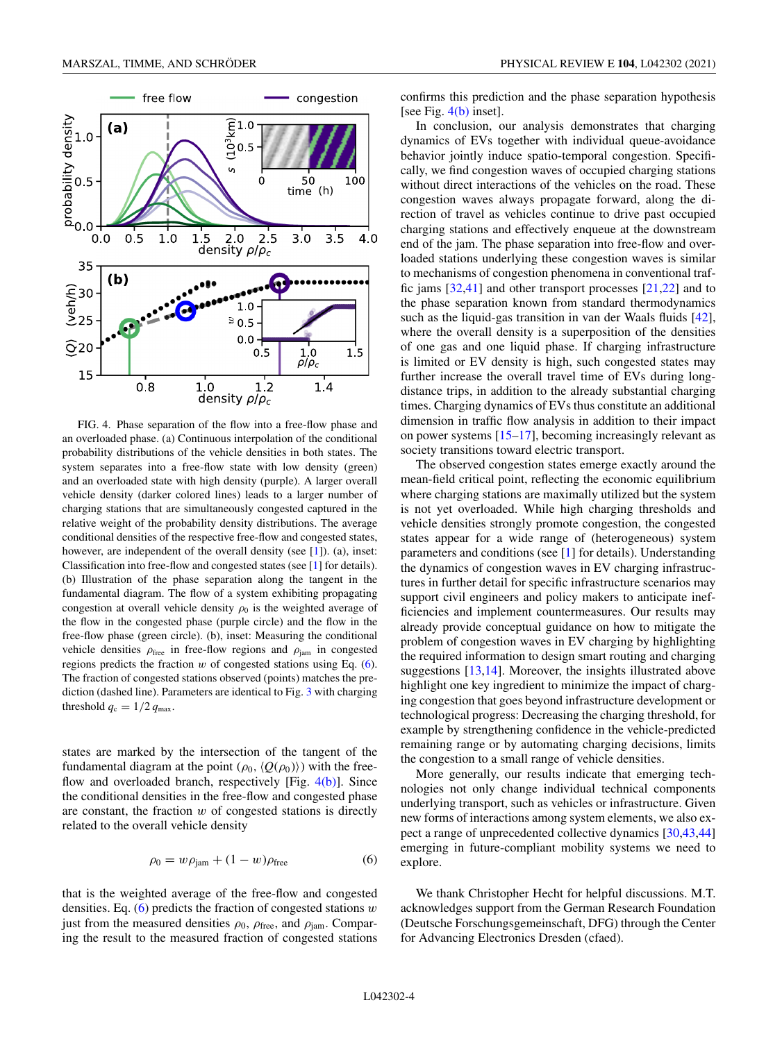<span id="page-3-0"></span>

FIG. 4. Phase separation of the flow into a free-flow phase and an overloaded phase. (a) Continuous interpolation of the conditional probability distributions of the vehicle densities in both states. The system separates into a free-flow state with low density (green) and an overloaded state with high density (purple). A larger overall vehicle density (darker colored lines) leads to a larger number of charging stations that are simultaneously congested captured in the relative weight of the probability density distributions. The average conditional densities of the respective free-flow and congested states, however, are independent of the overall density (see  $[1]$ ). (a), inset: Classification into free-flow and congested states (see [\[1\]](#page-4-0) for details). (b) Illustration of the phase separation along the tangent in the fundamental diagram. The flow of a system exhibiting propagating congestion at overall vehicle density  $\rho_0$  is the weighted average of the flow in the congested phase (purple circle) and the flow in the free-flow phase (green circle). (b), inset: Measuring the conditional vehicle densities  $\rho_{\text{free}}$  in free-flow regions and  $\rho_{\text{jam}}$  in congested regions predicts the fraction *w* of congested stations using Eq. (6). The fraction of congested stations observed (points) matches the prediction (dashed line). Parameters are identical to Fig. [3](#page-2-0) with charging threshold  $q_c = 1/2 q_{\text{max}}$ .

states are marked by the intersection of the tangent of the fundamental diagram at the point  $(\rho_0, \langle Q(\rho_0) \rangle)$  with the freeflow and overloaded branch, respectively [Fig. 4(b)]. Since the conditional densities in the free-flow and congested phase are constant, the fraction *w* of congested stations is directly related to the overall vehicle density

$$
\rho_0 = w \rho_{\text{jam}} + (1 - w) \rho_{\text{free}} \tag{6}
$$

that is the weighted average of the free-flow and congested densities. Eq. (6) predicts the fraction of congested stations *w* just from the measured densities  $\rho_0$ ,  $\rho_{\text{free}}$ , and  $\rho_{\text{jam}}$ . Comparing the result to the measured fraction of congested stations confirms this prediction and the phase separation hypothesis [see Fig. 4(b) inset].

In conclusion, our analysis demonstrates that charging dynamics of EVs together with individual queue-avoidance behavior jointly induce spatio-temporal congestion. Specifically, we find congestion waves of occupied charging stations without direct interactions of the vehicles on the road. These congestion waves always propagate forward, along the direction of travel as vehicles continue to drive past occupied charging stations and effectively enqueue at the downstream end of the jam. The phase separation into free-flow and overloaded stations underlying these congestion waves is similar to mechanisms of congestion phenomena in conventional traffic jams [\[32,](#page-4-0)[41\]](#page-5-0) and other transport processes [\[21,22\]](#page-4-0) and to the phase separation known from standard thermodynamics such as the liquid-gas transition in van der Waals fluids [\[42\]](#page-5-0), where the overall density is a superposition of the densities of one gas and one liquid phase. If charging infrastructure is limited or EV density is high, such congested states may further increase the overall travel time of EVs during longdistance trips, in addition to the already substantial charging times. Charging dynamics of EVs thus constitute an additional dimension in traffic flow analysis in addition to their impact on power systems [\[15–17\]](#page-4-0), becoming increasingly relevant as society transitions toward electric transport.

The observed congestion states emerge exactly around the mean-field critical point, reflecting the economic equilibrium where charging stations are maximally utilized but the system is not yet overloaded. While high charging thresholds and vehicle densities strongly promote congestion, the congested states appear for a wide range of (heterogeneous) system parameters and conditions (see [\[1\]](#page-4-0) for details). Understanding the dynamics of congestion waves in EV charging infrastructures in further detail for specific infrastructure scenarios may support civil engineers and policy makers to anticipate inefficiencies and implement countermeasures. Our results may already provide conceptual guidance on how to mitigate the problem of congestion waves in EV charging by highlighting the required information to design smart routing and charging suggestions [\[13,14\]](#page-4-0). Moreover, the insights illustrated above highlight one key ingredient to minimize the impact of charging congestion that goes beyond infrastructure development or technological progress: Decreasing the charging threshold, for example by strengthening confidence in the vehicle-predicted remaining range or by automating charging decisions, limits the congestion to a small range of vehicle densities.

More generally, our results indicate that emerging technologies not only change individual technical components underlying transport, such as vehicles or infrastructure. Given new forms of interactions among system elements, we also expect a range of unprecedented collective dynamics [\[30](#page-4-0)[,43,44\]](#page-5-0) emerging in future-compliant mobility systems we need to explore.

We thank Christopher Hecht for helpful discussions. M.T. acknowledges support from the German Research Foundation (Deutsche Forschungsgemeinschaft, DFG) through the Center for Advancing Electronics Dresden (cfaed).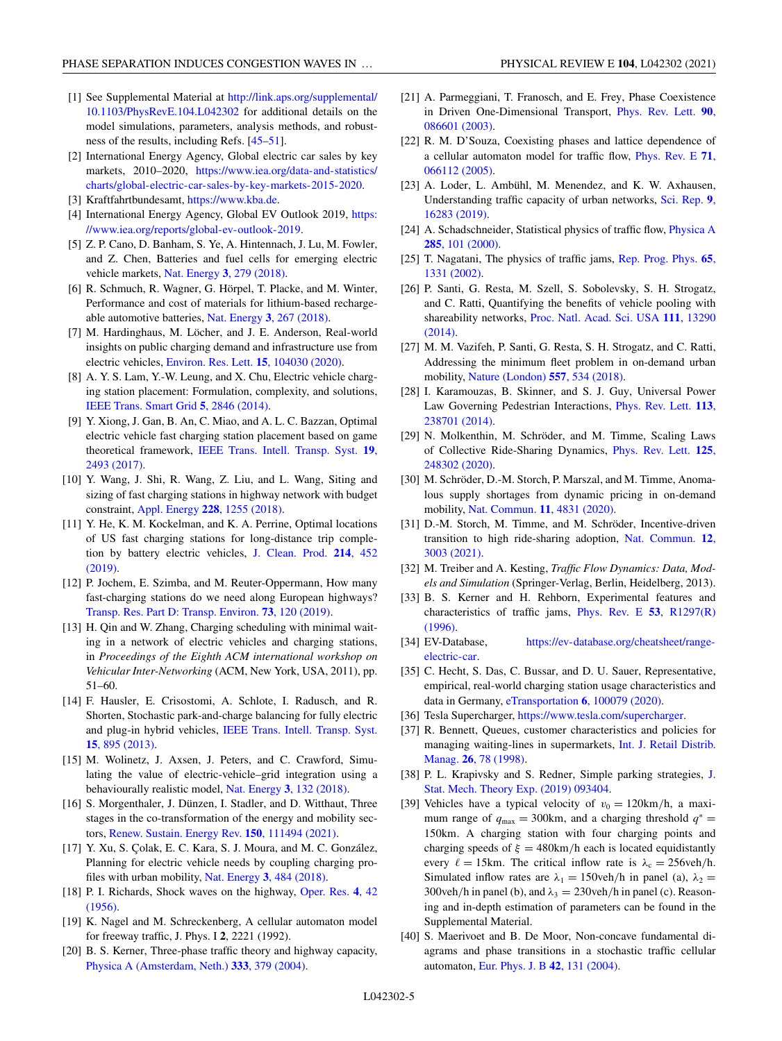- <span id="page-4-0"></span>[1] See Supplemental Material at http://link.aps.org/supplemental/ [10.1103/PhysRevE.104.L042302](http://link.aps.org/supplemental/10.1103/PhysRevE.104.L042302) for additional details on the model simulations, parameters, analysis methods, and robustness of the results, including Refs. [\[45–51\]](#page-5-0).
- [2] International Energy Agency, Global electric car sales by key markets, 2010–2020, https://www.iea.org/data-and-statistics/ [charts/global-electric-car-sales-by-key-markets-2015-2020.](https://www.iea.org/data-and-statistics/charts/global-electric-car-sales-by-key-markets-2015-2020)
- [3] Kraftfahrtbundesamt, [https://www.kba.de.](https://www.kba.de)
- [4] [International Energy Agency, Global EV Outlook 2019,](https://www.iea.org/reports/global-ev-outlook-2019) https: //www.iea.org/reports/global-ev-outlook-2019.
- [5] Z. P. Cano, D. Banham, S. Ye, A. Hintennach, J. Lu, M. Fowler, and Z. Chen, Batteries and fuel cells for emerging electric vehicle markets, Nat. Energy **3**[, 279 \(2018\).](https://doi.org/10.1038/s41560-018-0108-1)
- [6] R. Schmuch, R. Wagner, G. Hörpel, T. Placke, and M. Winter, Performance and cost of materials for lithium-based rechargeable automotive batteries, Nat. Energy **3**[, 267 \(2018\).](https://doi.org/10.1038/s41560-018-0107-2)
- [7] M. Hardinghaus, M. Löcher, and J. E. Anderson, Real-world insights on public charging demand and infrastructure use from electric vehicles, [Environ. Res. Lett.](https://doi.org/10.1088/1748-9326/aba716) **15**, 104030 (2020).
- [8] A. Y. S. Lam, Y.-W. Leung, and X. Chu, Electric vehicle charging station placement: Formulation, complexity, and solutions, [IEEE Trans. Smart Grid](https://doi.org/10.1109/TSG.2014.2344684) **5**, 2846 (2014).
- [9] Y. Xiong, J. Gan, B. An, C. Miao, and A. L. C. Bazzan, Optimal electric vehicle fast charging station placement based on game theoretical framework, [IEEE Trans. Intell. Transp. Syst.](https://doi.org/10.1109/TITS.2017.2754382) **19**, 2493 (2017).
- [10] Y. Wang, J. Shi, R. Wang, Z. Liu, and L. Wang, Siting and sizing of fast charging stations in highway network with budget constraint, Appl. Energy **228**[, 1255 \(2018\).](https://doi.org/10.1016/j.apenergy.2018.07.025)
- [11] Y. He, K. M. Kockelman, and K. A. Perrine, Optimal locations of US fast charging stations for long-distance trip comple[tion by battery electric vehicles,](https://doi.org/10.1016/j.jclepro.2018.12.188) J. Clean. Prod. **214**, 452 (2019).
- [12] P. Jochem, E. Szimba, and M. Reuter-Oppermann, How many fast-charging stations do we need along European highways? [Transp. Res. Part D: Transp. Environ.](https://doi.org/10.1016/j.trd.2019.06.005) **73**, 120 (2019).
- [13] H. Qin and W. Zhang, Charging scheduling with minimal waiting in a network of electric vehicles and charging stations, in *Proceedings of the Eighth ACM international workshop on Vehicular Inter-Networking* (ACM, New York, USA, 2011), pp. 51–60.
- [14] F. Hausler, E. Crisostomi, A. Schlote, I. Radusch, and R. Shorten, Stochastic park-and-charge balancing for fully electric and plug-in hybrid vehicles, [IEEE Trans. Intell. Transp. Syst.](https://doi.org/10.1109/TITS.2013.2286266) **15**, 895 (2013).
- [15] M. Wolinetz, J. Axsen, J. Peters, and C. Crawford, Simulating the value of electric-vehicle–grid integration using a behaviourally realistic model, Nat. Energy **3**[, 132 \(2018\).](https://doi.org/10.1038/s41560-017-0077-9)
- [16] S. Morgenthaler, J. Dünzen, I. Stadler, and D. Witthaut, Three stages in the co-transformation of the energy and mobility sectors, [Renew. Sustain. Energy Rev.](https://doi.org/10.1016/j.rser.2021.111494) **150**, 111494 (2021).
- [17] Y. Xu, S. Çolak, E. C. Kara, S. J. Moura, and M. C. González, Planning for electric vehicle needs by coupling charging profiles with urban mobility, Nat. Energy **3**[, 484 \(2018\).](https://doi.org/10.1038/s41560-018-0136-x)
- [18] [P. I. Richards, Shock waves on the highway,](https://doi.org/10.1287/opre.4.1.42) Oper. Res. **4**, 42 (1956).
- [19] K. Nagel and M. Schreckenberg, A cellular automaton model for freeway traffic, J. Phys. I **2**, 2221 (1992).
- [20] B. S. Kerner, Three-phase traffic theory and highway capacity, [Physica A \(Amsterdam, Neth.\)](https://doi.org/10.1016/j.physa.2003.10.017) **333**, 379 (2004).
- [21] A. Parmeggiani, T. Franosch, and E. Frey, Phase Coexistence [in Driven One-Dimensional Transport,](https://doi.org/10.1103/PhysRevLett.90.086601) Phys. Rev. Lett. **90**, 086601 (2003).
- [22] R. M. D'Souza, Coexisting phases and lattice dependence of [a cellular automaton model for traffic flow,](https://doi.org/10.1103/PhysRevE.71.066112) Phys. Rev. E **71**, 066112 (2005).
- [23] A. Loder, L. Ambühl, M. Menendez, and K. W. Axhausen, [Understanding traffic capacity of urban networks,](https://doi.org/10.1038/s41598-019-51539-5) Sci. Rep. **9**, 16283 (2019).
- [24] [A. Schadschneider, Statistical physics of traffic flow,](https://doi.org/10.1016/S0378-4371(00)00274-0) Physica A **285**, 101 (2000).
- [25] [T. Nagatani, The physics of traffic jams,](https://doi.org/10.1088/0034-4885/65/9/203) Rep. Prog. Phys. **65**, 1331 (2002).
- [26] P. Santi, G. Resta, M. Szell, S. Sobolevsky, S. H. Strogatz, and C. Ratti, Quantifying the benefits of vehicle pooling with shareability networks, [Proc. Natl. Acad. Sci. USA](https://doi.org/10.1073/pnas.1403657111) **111**, 13290 (2014).
- [27] M. M. Vazifeh, P. Santi, G. Resta, S. H. Strogatz, and C. Ratti, Addressing the minimum fleet problem in on-demand urban mobility, [Nature \(London\)](https://doi.org/10.1038/s41586-018-0095-1) **557**, 534 (2018).
- [28] I. Karamouzas, B. Skinner, and S. J. Guy, Universal Power [Law Governing Pedestrian Interactions,](https://doi.org/10.1103/PhysRevLett.113.238701) Phys. Rev. Lett. **113**, 238701 (2014).
- [29] N. Molkenthin, M. Schröder, and M. Timme, Scaling Laws [of Collective Ride-Sharing Dynamics,](https://doi.org/10.1103/PhysRevLett.125.248302) Phys. Rev. Lett. **125**, 248302 (2020).
- [30] M. Schröder, D.-M. Storch, P. Marszal, and M. Timme, Anomalous supply shortages from dynamic pricing in on-demand mobility, [Nat. Commun.](https://doi.org/10.1038/s41467-020-18370-3) **11**, 4831 (2020).
- [31] D.-M. Storch, M. Timme, and M. Schröder, Incentive-driven [transition to high ride-sharing adoption,](https://doi.org/10.1038/s41467-021-23287-6) Nat. Commun. **12**, 3003 (2021).
- [32] M. Treiber and A. Kesting, *Traffic Flow Dynamics: Data, Models and Simulation* (Springer-Verlag, Berlin, Heidelberg, 2013).
- [33] B. S. Kerner and H. Rehborn, Experimental features and [characteristics of traffic jams,](https://doi.org/10.1103/PhysRevE.53.R1297) Phys. Rev. E **53**, R1297(R) (1996).
- [34] EV-Database, [https://ev-database.org/cheatsheet/range](https://ev-database.org/cheatsheet/range-electric-car)electric-car.
- [35] C. Hecht, S. Das, C. Bussar, and D. U. Sauer, Representative, empirical, real-world charging station usage characteristics and data in Germany, eTransportation **6**[, 100079 \(2020\).](https://doi.org/10.1016/j.etran.2020.100079)
- [36] Tesla Supercharger, [https://www.tesla.com/supercharger.](https://www.tesla.com/supercharger)
- [37] R. Bennett, Queues, customer characteristics and policies for [managing waiting-lines in supermarkets,](https://doi.org/10.1108/09590559810206498) Int. J. Retail Distrib. Manag. **26**, 78 (1998).
- [38] [P. L. Krapivsky and S. Redner, Simple parking strategies,](https://doi.org/10.1088/1742-5468/ab3a2a) J. Stat. Mech. Theory Exp. (2019) 093404.
- [39] Vehicles have a typical velocity of  $v_0 = 120 \text{km/h}$ , a maximum range of  $q_{\text{max}} = 300 \text{km}$ , and a charging threshold  $q^* =$ 150km. A charging station with four charging points and charging speeds of  $\xi = 480 \text{km/h}$  each is located equidistantly every  $\ell = 15$ km. The critical inflow rate is  $\lambda_c = 256$ veh/h. Simulated inflow rates are  $\lambda_1 = 150$ veh/h in panel (a),  $\lambda_2 =$ 300veh/h in panel (b), and  $\lambda_3 = 230$ veh/h in panel (c). Reasoning and in-depth estimation of parameters can be found in the Supplemental Material.
- [40] S. Maerivoet and B. De Moor, Non-concave fundamental diagrams and phase transitions in a stochastic traffic cellular automaton, [Eur. Phys. J. B](https://doi.org/10.1140/epjb/e2004-00365-8) **42**, 131 (2004).